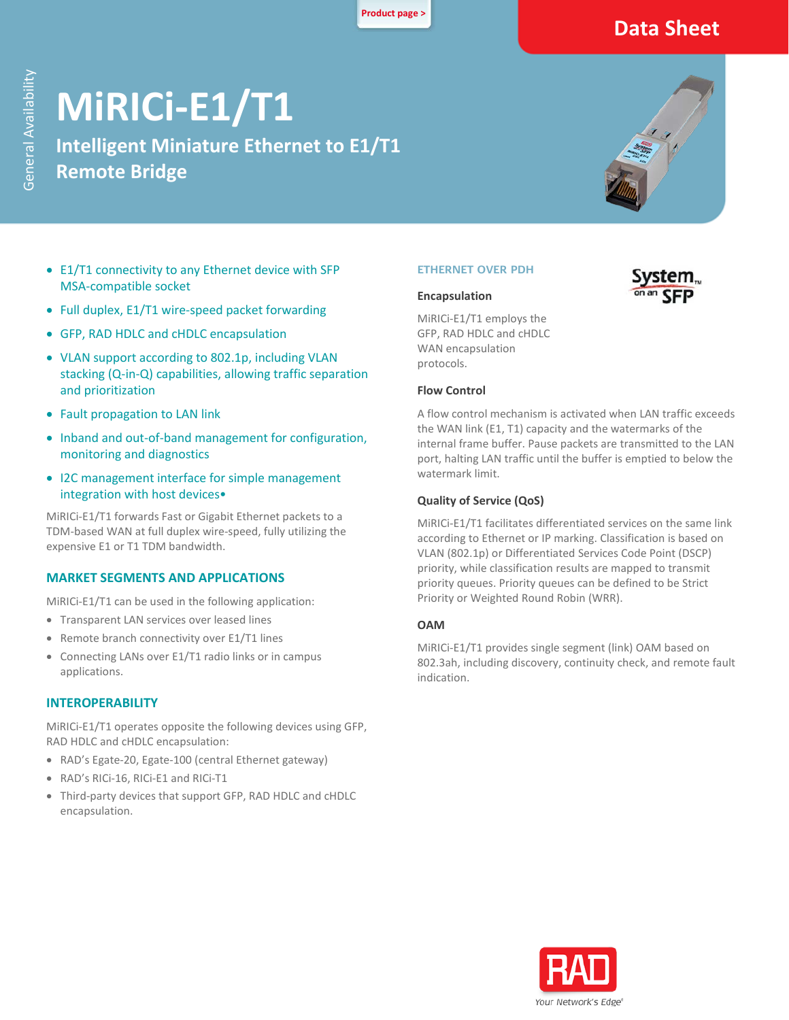**[Product page >](https://www.rad.com/)**

# **Data Sheet**

# **MiRICi-E1/T1**

**Intelligent Miniature Ethernet to E1/T1 Remote Bridge**



- E1/T1 connectivity to any Ethernet device with SFP MSA-compatible socket
- Full duplex, E1/T1 wire-speed packet forwarding
- GFP, RAD HDLC and cHDLC encapsulation
- VLAN support according to 802.1p, including VLAN stacking (Q-in-Q) capabilities, allowing traffic separation and prioritization
- Fault propagation to LAN link
- Inband and out-of-band management for configuration, monitoring and diagnostics
- I2C management interface for simple management integration with host devices•

MiRICi-E1/T1 forwards Fast or Gigabit Ethernet packets to a TDM-based WAN at full duplex wire-speed, fully utilizing the expensive E1 or T1 TDM bandwidth.

#### **MARKET SEGMENTS AND APPLICATIONS**

MiRICi-E1/T1 can be used in the following application:

- Transparent LAN services over leased lines
- Remote branch connectivity over E1/T1 lines
- Connecting LANs over E1/T1 radio links or in campus applications.

#### **INTEROPERABILITY**

MiRICi-E1/T1 operates opposite the following devices using GFP, RAD HDLC and cHDLC encapsulation:

- RAD's Egate-20, Egate-100 (central Ethernet gateway)
- RAD's RICi-16, RICi-E1 and RICi-T1
- Third-party devices that support GFP, RAD HDLC and cHDLC encapsulation.

#### **ETHERNET OVER PDH**

#### **Encapsulation**

MiRICi-E1/T1 employs the GFP, RAD HDLC and cHDLC WAN encapsulation protocols.

#### **Flow Control**

A flow control mechanism is activated when LAN traffic exceeds the WAN link (E1, T1) capacity and the watermarks of the internal frame buffer. Pause packets are transmitted to the LAN port, halting LAN traffic until the buffer is emptied to below the watermark limit.

#### **Quality of Service (QoS)**

MiRICi-E1/T1 facilitates differentiated services on the same link according to Ethernet or IP marking. Classification is based on VLAN (802.1p) or Differentiated Services Code Point (DSCP) priority, while classification results are mapped to transmit priority queues. Priority queues can be defined to be Strict Priority or Weighted Round Robin (WRR).

#### **OAM**

MiRICi-E1/T1 provides single segment (link) OAM based on 802.3ah, including discovery, continuity check, and remote fault indication.



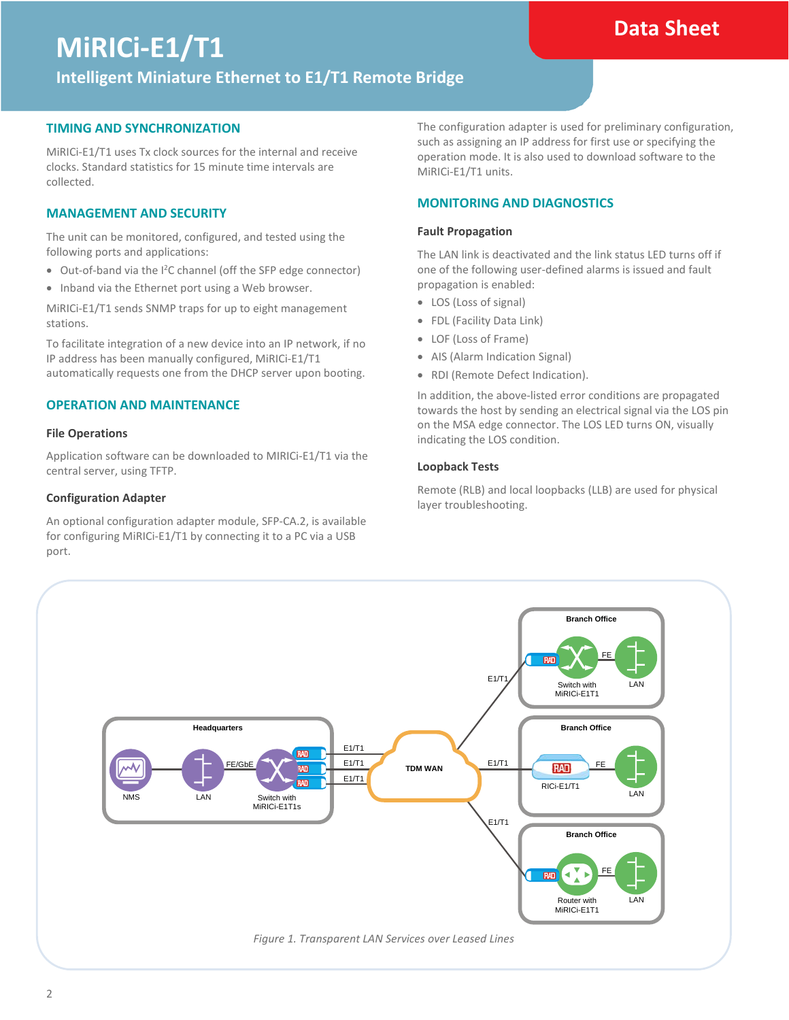### **Data Sheet**

# **MiRICi-E1/T1**

**Intelligent Miniature Ethernet to E1/T1 Remote Bridge**

#### **TIMING AND SYNCHRONIZATION**

MiRICi-E1/T1 uses Tx clock sources for the internal and receive clocks. Standard statistics for 15 minute time intervals are collected.

#### **MANAGEMENT AND SECURITY**

The unit can be monitored, configured, and tested using the following ports and applications:

- Out-of-band via the I2C channel (off the SFP edge connector)
- Inband via the Ethernet port using a Web browser.

MiRICi-E1/T1 sends SNMP traps for up to eight management stations.

To facilitate integration of a new device into an IP network, if no IP address has been manually configured, MiRICi-E1/T1 automatically requests one from the DHCP server upon booting.

#### **OPERATION AND MAINTENANCE**

#### **File Operations**

Application software can be downloaded to MIRICi-E1/T1 via the central server, using TFTP.

#### **Configuration Adapter**

An optional configuration adapter module, SFP-CA.2, is available for configuring MiRICi-E1/T1 by connecting it to a PC via a USB port.

The configuration adapter is used for preliminary configuration, such as assigning an IP address for first use or specifying the operation mode. It is also used to download software to the MiRICi-E1/T1 units.

#### **MONITORING AND DIAGNOSTICS**

#### **Fault Propagation**

The LAN link is deactivated and the link status LED turns off if one of the following user-defined alarms is issued and fault propagation is enabled:

- LOS (Loss of signal)
- FDL (Facility Data Link)
- LOF (Loss of Frame)
- AIS (Alarm Indication Signal)
- RDI (Remote Defect Indication).

In addition, the above-listed error conditions are propagated towards the host by sending an electrical signal via the LOS pin on the MSA edge connector. The LOS LED turns ON, visually indicating the LOS condition.

#### **Loopback Tests**

Remote (RLB) and local loopbacks (LLB) are used for physical layer troubleshooting.

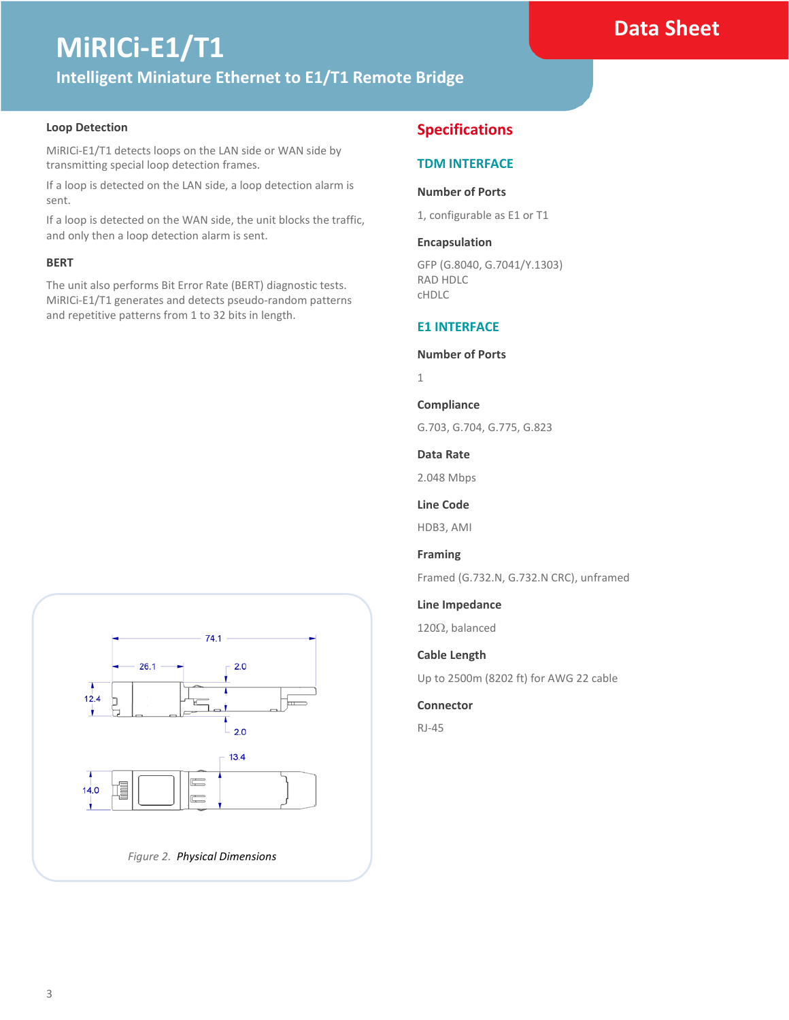### **Data Sheet**

# **MiRICi-E1/T1 Intelligent Miniature Ethernet to E1/T1 Remote Bridge**

#### **Loop Detection**

MiRICi-E1/T1 detects loops on the LAN side or WAN side by transmitting special loop detection frames.

If a loop is detected on the LAN side, a loop detection alarm is sent.

If a loop is detected on the WAN side, the unit blocks the traffic, and only then a loop detection alarm is sent.

#### **BERT**

The unit also performs Bit Error Rate (BERT) diagnostic tests. MiRICi-E1/T1 generates and detects pseudo-random patterns and repetitive patterns from 1 to 32 bits in length.



#### **Specifications**

#### **TDM INTERFACE**

#### **Number of Ports**

1, configurable as E1 or T1

#### **Encapsulation**

GFP (G.8040, G.7041/Y.1303) RAD HDLC cHDLC

#### **E1 INTERFACE**

#### **Number of Ports**

1

#### **Compliance**

G.703, G.704, G.775, G.823

#### **Data Rate**

2.048 Mbps

#### **Line Code**

HDB3, AMI

#### **Framing**

Framed (G.732.N, G.732.N CRC), unframed

#### **Line Impedance**

120Ω, balanced

#### **Cable Length**

Up to 2500m (8202 ft) for AWG 22 cable

#### **Connector**

RJ-45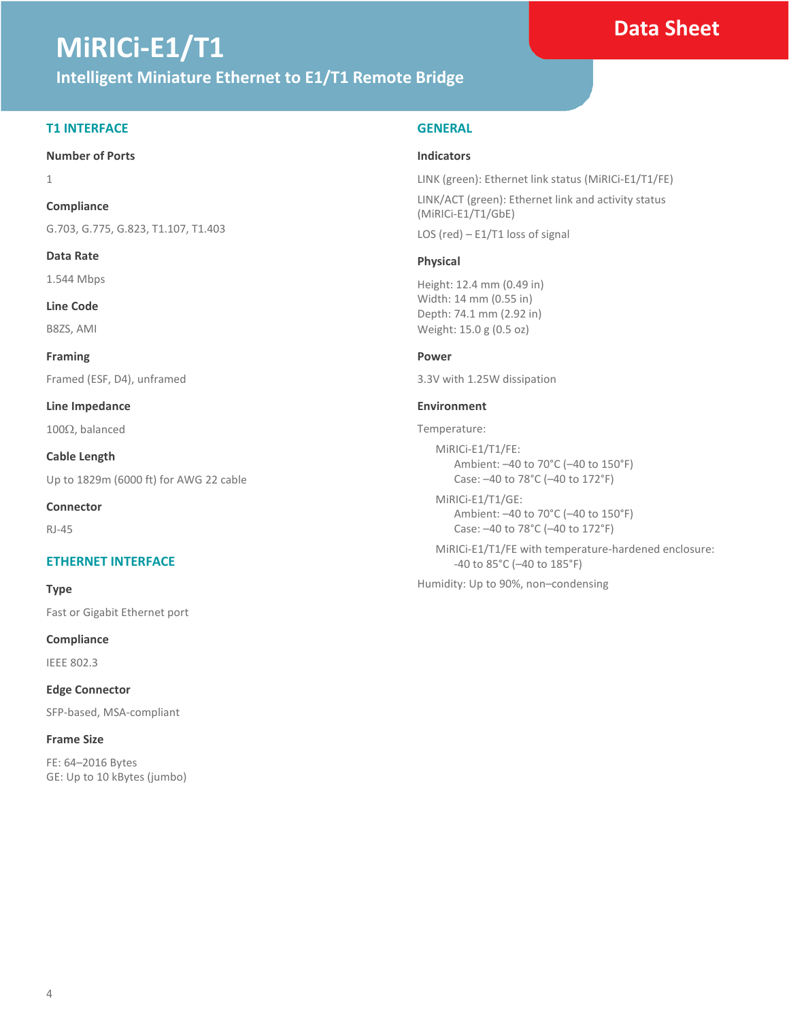# **MiRICi-E1/T1**

#### **Intelligent Miniature Ethernet to E1/T1 Remote Bridge**

#### **T1 INTERFACE**

#### **Number of Ports**

1

#### **Compliance**

G.703, G.775, G.823, T1.107, T1.403

**Data Rate** 

1.544 Mbps

**Line Code**

B8ZS, AMI

**Framing** Framed (ESF, D4), unframed

**Line Impedance** 

100Ω, balanced

**Cable Length** Up to 1829m (6000 ft) for AWG 22 cable

**Connector**

RJ-45

#### **ETHERNET INTERFACE**

**Type**

Fast or Gigabit Ethernet port

**Compliance**

IEEE 802.3

**Edge Connector** SFP-based, MSA-compliant

**Frame Size** FE: 64–2016 Bytes GE: Up to 10 kBytes (jumbo)

#### **GENERAL**

#### **Indicators**

LINK (green): Ethernet link status (MiRICi-E1/T1/FE) LINK/ACT (green): Ethernet link and activity status (MiRICi-E1/T1/GbE)

LOS (red) – E1/T1 loss of signal

#### **Physical**

Height: 12.4 mm (0.49 in) Width: 14 mm (0.55 in) Depth: 74.1 mm (2.92 in) Weight: 15.0 g (0.5 oz)

#### **Power**

3.3V with 1.25W dissipation

#### **Environment**

Temperature:

MiRICi-E1/T1/FE: Ambient: –40 to 70°C (–40 to 150°F) Case: –40 to 78°C (–40 to 172°F)

MiRICi-E1/T1/GE: Ambient: –40 to 70°C (–40 to 150°F) Case: –40 to 78°C (–40 to 172°F)

MiRICi-E1/T1/FE with temperature-hardened enclosure: -40 to 85°C (–40 to 185°F)

Humidity: Up to 90%, non–condensing

### **Data Sheet**